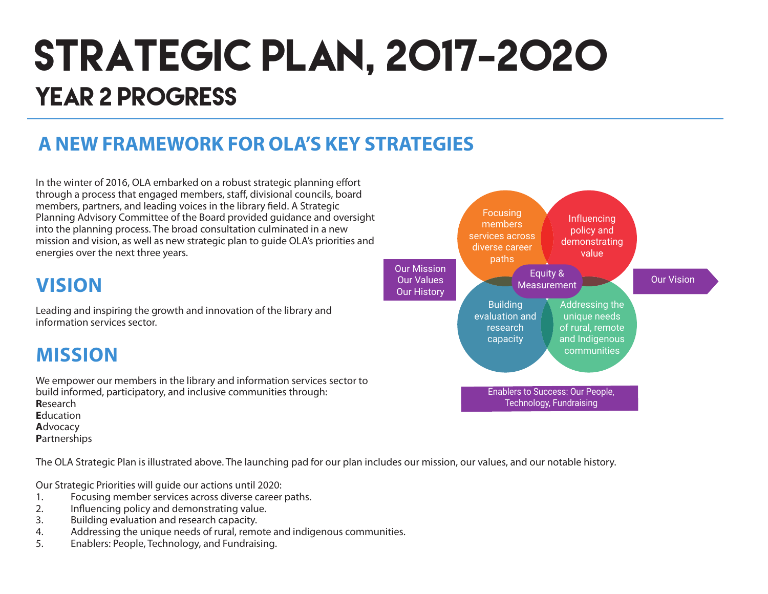# STRATEGIC PLAN, 2017-2020 YEAR 2 PROGRESS

### **A NEW FRAMEWORK FOR OLA'S KEY STRATEGIES**

In the winter of 2016, OLA embarked on a robust strategic planning effort through a process that engaged members, staff, divisional councils, board members, partners, and leading voices in the library field. A Strategic Planning Advisory Committee of the Board provided guidance and oversight into the planning process. The broad consultation culminated in a new mission and vision, as well as new strategic plan to guide OLA's priorities and energies over the next three years.

### **VISION**

Leading and inspiring the growth and innovation of the library and information services sector.

### **MISSION**

We empower our members in the library and information services sector to build informed, participatory, and inclusive communities through: **R**esearch **E**ducation **A**dvocacy **P**artnerships

The OLA Strategic Plan is illustrated above. The launching pad for our plan includes our mission, our values, and our notable history.

Our Strategic Priorities will guide our actions until 2020:

- 1. Focusing member services across diverse career paths.<br>2. Influencing policy and demonstrating value.
- 2. Influencing policy and demonstrating value.
- 3. Building evaluation and research capacity.
- 4. Addressing the unique needs of rural, remote and indigenous communities.
- 5. Enablers: People, Technology, and Fundraising.

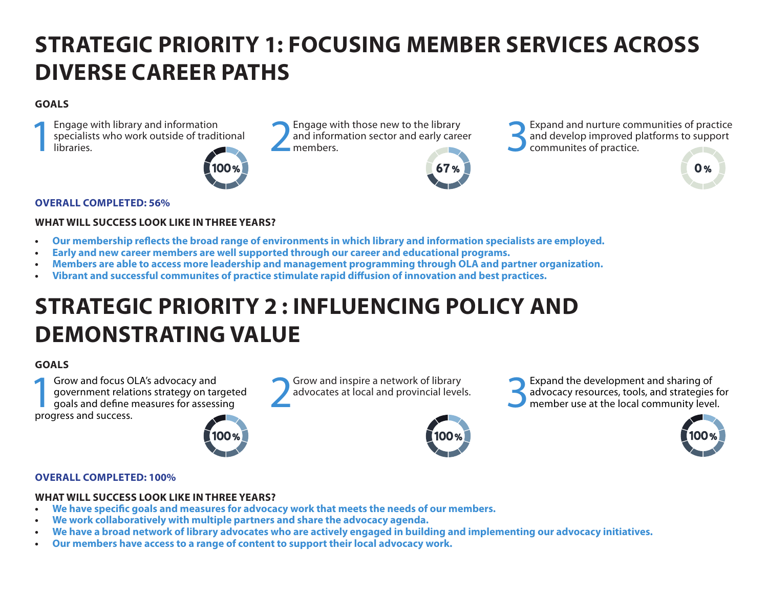# **STRATEGIC PRIORITY 1: FOCUSING MEMBER SERVICES ACROSS DIVERSE CAREER PATHS**

#### **GOALS**

Engage with library and information<br>specialists who work outside of tradit<br>libraries. specialists who work outside of traditional Engage with library and information<br>specialists who work outside of traditional and information sector and early care<br>libraries.<br>members.



and information sector and early career<br>members

Engage with those new to the library<br>and information sector and early career<br>members.<br> $\bigcup_{\text{commuities of practice.}}$ <br>Communites of practice. and develop improved platforms to support communites of practice.

#### **OVERALL COMPLETED: 56%**

#### **WHAT WILL SUCCESS LOOK LIKE IN THREE YEARS?**

- **• Our membership reflects the broad range of environments in which library and information specialists are employed.**
- **• Early and new career members are well supported through our career and educational programs.**
- **• Members are able to access more leadership and management programming through OLA and partner organization.**
- **Vibrant and successful communites of practice stimulate rapid diffusion of innovation and best practices.**

### **STRATEGIC PRIORITY 2 : INFLUENCING POLICY AND DEMONSTRATING VALUE**

#### **GOALS**

**1Grow and focus OLA's advocacy and<br>
government relations strategy on target<br>
goals and define measures for assessing<br>
progress and success** government relations strategy on targeted progress and success.



Grow and inspire a network of library<br>advocates at local and provincial levels.



Grow and inspire a network of library<br>advocates at local and provincial levels.<br>**3Expand the development and sharing of**<br>member use at the local community leve advocacy resources, tools, and strategies for member use at the local community level.



 $\mathbf{0}$  %

#### **OVERALL COMPLETED: 100%**

#### **WHAT WILL SUCCESS LOOK LIKE IN THREE YEARS?**

- **• We have specific goals and measures for advocacy work that meets the needs of our members.**
- **• We work collaboratively with multiple partners and share the advocacy agenda.**
- We have a broad network of library advocates who are actively engaged in building and implementing our advocacy initiatives.
- **• Our members have access to a range of content to support their local advocacy work.**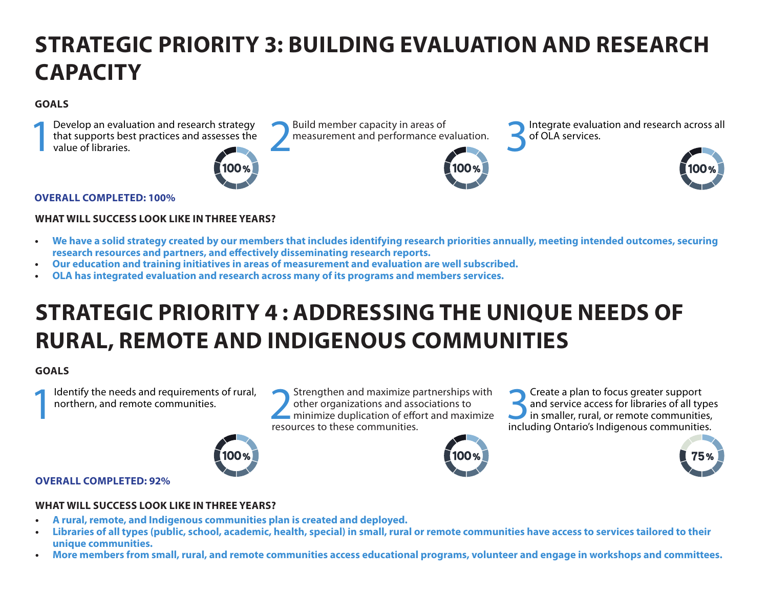# **STRATEGIC PRIORITY 3: BUILDING EVALUATION AND RESEARCH CAPACITY**

#### **GOALS**

Develop an evaluation and research strategy<br>that supports best practices and assesses the<br>value of libraries. that supports best practices and assesses the Develop an evaluation and research strategy<br>that supports best practices and assesses the value of libraries. Build member capacity in areas of **1986** Integrate evaluation and research across all measurement and performance evaluation. of OLA services. **OVERALL COMPLETED: 100%**

#### **WHAT WILL SUCCESS LOOK LIKE IN THREE YEARS?**

- **• We have a solid strategy created by our members that includes identifying research priorities annually, meeting intended outcomes, securing research resources and partners, and effectively disseminating research reports.**
- **• Our education and training initiatives in areas of measurement and evaluation are well subscribed.**
- **OLA has integrated evaluation and research across many of its programs and members services.**

### **STRATEGIC PRIORITY 4 : ADDRESSING THE UNIQUE NEEDS OF RURAL, REMOTE AND INDIGENOUS COMMUNITIES**

#### **GOALS**

Identify the needs and requirements of rural, northern, and remote communities.

Identify the needs and requirements of rural,<br>
northern, and remote communities.<br> **EXECUTES TO DEALLY A PERIMEDIATE PARTLE PARTLE PARTLE PARTLE PARTLE PARTLE PARTLE PARTLE PARTLE PARTLE PARTLE PARTLE PARTLE PARTLE PARTLE P** other organizations and associations to minimize duplication of effort and maximize resources to these communities.

Solution of the set of and service access for libraries of all type in smaller, rural, or remote communities and service access for libraries of all types in smaller, rural, or remote communities, including Ontario's Indigenous communities.





#### **OVERALL COMPLETED: 92%**

#### **WHAT WILL SUCCESS LOOK LIKE IN THREE YEARS?**

- **• A rural, remote, and Indigenous communities plan is created and deployed.**
- Libraries of all types (public, school, academic, health, special) in small, rural or remote communities have access to services tailored to their **unique communities.**
- **• More members from small, rural, and remote communities access educational programs, volunteer and engage in workshops and committees.**